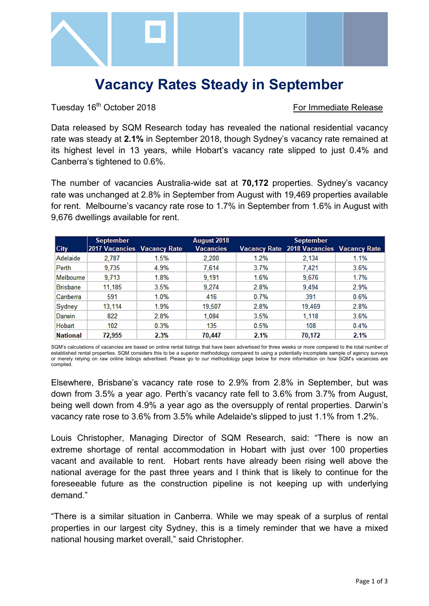

# **Vacancy Rates Steady in September**

Tuesday 16<sup>th</sup> October 2018 **For Immediate Release** 

Data released by SQM Research today has revealed the national residential vacancy rate was steady at **2.1%** in September 2018, though Sydney's vacancy rate remained at its highest level in 13 years, while Hobart's vacancy rate slipped to just 0.4% and Canberra's tightened to 0.6%.

The number of vacancies Australia-wide sat at **70,172** properties. Sydney's vacancy rate was unchanged at 2.8% in September from August with 19,469 properties available for rent. Melbourne's vacancy rate rose to 1.7% in September from 1.6% in August with 9,676 dwellings available for rent.

|                 | <b>September</b>            |      | August 2018      |      | <b>September</b>                         |      |
|-----------------|-----------------------------|------|------------------|------|------------------------------------------|------|
| <b>City</b>     | 2017 Vacancies Vacancy Rate |      | <b>Vacancies</b> |      | Vacancy Rate 2018 Vacancies Vacancy Rate |      |
| Adelaide        | 2,787                       | 1.5% | 2,200            | 1.2% | 2,134                                    | 1.1% |
| Perth           | 9.735                       | 4.9% | 7.614            | 3.7% | 7.421                                    | 3.6% |
| Melbourne       | 9,713                       | 1.8% | 9.191            | 1.6% | 9,676                                    | 1.7% |
| <b>Brisbane</b> | 11,185                      | 3.5% | 9.274            | 2.8% | 9.494                                    | 2.9% |
| Canberra        | 591                         | 1.0% | 416              | 0.7% | 391                                      | 0.6% |
| Sydney          | 13.114                      | 1.9% | 19,507           | 2.8% | 19,469                                   | 2.8% |
| Darwin          | 822                         | 2.8% | 1,084            | 3.5% | 1,118                                    | 3.6% |
| Hobart          | 102                         | 0.3% | 135              | 0.5% | 108                                      | 0.4% |
| <b>National</b> | 72,955                      | 2.3% | 70,447           | 2.1% | 70,172                                   | 2.1% |

SQM's calculations of vacancies are based on online rental listings that have been advertised for three weeks or more compared to the total number of established rental properties. SQM considers this to be a superior methodology compared to using a potentially incomplete sample of agency surveys or merely relying on raw online listings advertised. Please go to our methodology page below for more information on how SQM's vacancies are compiled.

Elsewhere, Brisbane's vacancy rate rose to 2.9% from 2.8% in September, but was down from 3.5% a year ago. Perth's vacancy rate fell to 3.6% from 3.7% from August, being well down from 4.9% a year ago as the oversupply of rental properties. Darwin's vacancy rate rose to 3.6% from 3.5% while Adelaide's slipped to just 1.1% from 1.2%.

Louis Christopher, Managing Director of SQM Research, said: "There is now an extreme shortage of rental accommodation in Hobart with just over 100 properties vacant and available to rent. Hobart rents have already been rising well above the national average for the past three years and I think that is likely to continue for the foreseeable future as the construction pipeline is not keeping up with underlying demand."

"There is a similar situation in Canberra. While we may speak of a surplus of rental properties in our largest city Sydney, this is a timely reminder that we have a mixed national housing market overall," said Christopher.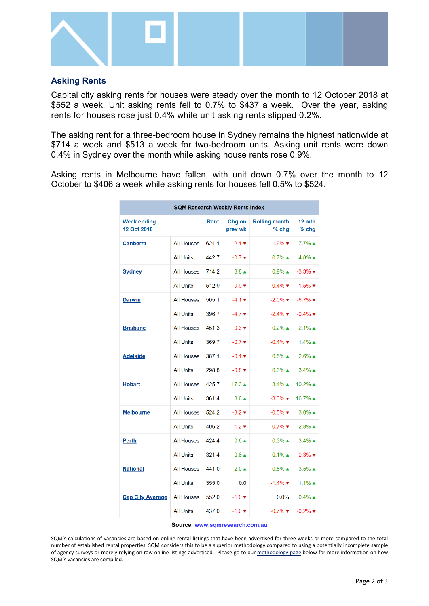

## **Asking Rents**

Capital city asking rents for houses were steady over the month to 12 October 2018 at \$552 a week. Unit asking rents fell to 0.7% to \$437 a week. Over the year, asking rents for houses rose just 0.4% while unit asking rents slipped 0.2%.

The asking rent for a three-bedroom house in Sydney remains the highest nationwide at \$714 a week and \$513 a week for two-bedroom units. Asking unit rents were down 0.4% in Sydney over the month while asking house rents rose 0.9%.

Asking rents in Melbourne have fallen, with unit down 0.7% over the month to 12 October to \$406 a week while asking rents for houses fell 0.5% to \$524.

| <b>SQM Research Weekly Rents Index</b> |                   |       |                             |                                 |                               |  |  |  |  |
|----------------------------------------|-------------------|-------|-----------------------------|---------------------------------|-------------------------------|--|--|--|--|
| <b>Week ending</b><br>12 Oct 2018      |                   | Rent  | Chg on<br>prev wk           | <b>Rolling month</b><br>$%$ chg | 12 mth<br>$%$ chg             |  |  |  |  |
| <b>Canberra</b>                        | <b>All Houses</b> | 624.1 | $-2.1 \times$               | $-1.9\%$ $\blacktriangledown$   | $7.7\%$ $\triangle$           |  |  |  |  |
|                                        | <b>All Units</b>  | 442.7 | $-0.7 \blacktriangledown$   | $0.7\%$ $\blacktriangle$        | $4.8\%$ $\triangle$           |  |  |  |  |
| <b>Sydney</b>                          | <b>All Houses</b> | 714.2 | $3.8 \triangle$             | $0.9\%$ $\blacktriangle$        | $-3.3\%$ $\blacktriangledown$ |  |  |  |  |
|                                        | <b>All Units</b>  | 512.9 | $-0.9 +$                    | $-0.4\%$ $\blacktriangledown$   | $-1.5\%$ $\blacktriangledown$ |  |  |  |  |
| <b>Darwin</b>                          | <b>All Houses</b> | 505.1 | $-4.1 \times$               | $-2.0\%$ $\blacktriangledown$   | $-6.7\%$ $\blacktriangledown$ |  |  |  |  |
|                                        | <b>All Units</b>  | 396.7 | $-4.7 \blacktriangledown$   | $-2.4\%$ $\blacktriangledown$   | $-0.4\%$ $\blacktriangledown$ |  |  |  |  |
| <b>Brisbane</b>                        | <b>All Houses</b> | 451.3 | $-0.3 \blacktriangledown$   | $0.2\%$ $\triangle$             | $2.1\%$ ▲                     |  |  |  |  |
|                                        | <b>All Units</b>  | 369.7 | $-0.7 \blacktriangledown$   | $-0.4\%$ $\blacktriangledown$   | $1.4\%$ $\triangle$           |  |  |  |  |
| <b>Adelaide</b>                        | <b>All Houses</b> | 387.1 | $-0.1 \blacktriangledown$   | $0.5\%$ $\triangle$             | $2.6\%$ ▲                     |  |  |  |  |
|                                        | <b>All Units</b>  | 298.8 | $-0.8$ $\blacktriangledown$ | $0.3\%$ $\triangle$             | $3.4\%$ $\triangle$           |  |  |  |  |
| <b>Hobart</b>                          | <b>All Houses</b> | 425.7 | $17.3 \triangle$            | $3.4\%$ $\triangle$             | $10.2\%$ $\triangle$          |  |  |  |  |
|                                        | <b>All Units</b>  | 361.4 | $3.6 \triangle$             | $-3.3\%$ $\blacktriangledown$   | 16.7% ▲                       |  |  |  |  |
| <b>Melbourne</b>                       | <b>All Houses</b> | 524.2 | $-3.2 \blacktriangledown$   | $-0.5\%$ $\blacktriangledown$   | $3.0\%$ $\triangle$           |  |  |  |  |
|                                        | <b>All Units</b>  | 406.2 | $-1.2 \times$               | $-0.7\%$ $\blacktriangledown$   | $2.8%$ ▲                      |  |  |  |  |
| <b>Perth</b>                           | <b>All Houses</b> | 424.4 | $0.6 \triangle$             | $0.3\%$ $\triangle$             | $3.4\%$ $\triangle$           |  |  |  |  |
|                                        | <b>All Units</b>  | 321.4 | $0.6 \triangle$             | $0.1\%$ $\triangle$             | $-0.3\%$ $\blacktriangledown$ |  |  |  |  |
| <b>National</b>                        | <b>All Houses</b> | 441.0 | $2.0 \triangle$             | $0.5\%$ $\triangle$             | $3.5\%$ $\triangle$           |  |  |  |  |
|                                        | <b>All Units</b>  | 355.0 | 0.0                         | $-1.4\%$ $\blacktriangledown$   | $1.1\%$ ▲                     |  |  |  |  |
| <b>Cap City Average</b>                | <b>All Houses</b> | 552.0 | $-1.0 \blacktriangledown$   | $0.0\%$                         | $0.4\%$ $\triangle$           |  |  |  |  |
|                                        | <b>All Units</b>  | 437.0 | $-1.0 \blacktriangledown$   | $-0.7\%$ $\blacktriangledown$   | $-0.2\%$ $\blacktriangledown$ |  |  |  |  |

### **Source: [www.sqmresearch.com.au](http://www.sqmresearch.com.au/)**

SQM's calculations of vacancies are based on online rental listings that have been advertised for three weeks or more compared to the total number of established rental properties. SQM considers this to be a superior methodology compared to using a potentially incomplete sample of agency surveys or merely relying on raw online listings advertised. Please go to our [methodology page](http://www.sqmresearch.com.au/graph_vacancy.php?region=nsw::Sydney&type=c&t=1#terms) below for more information on how SQM's vacancies are compiled.